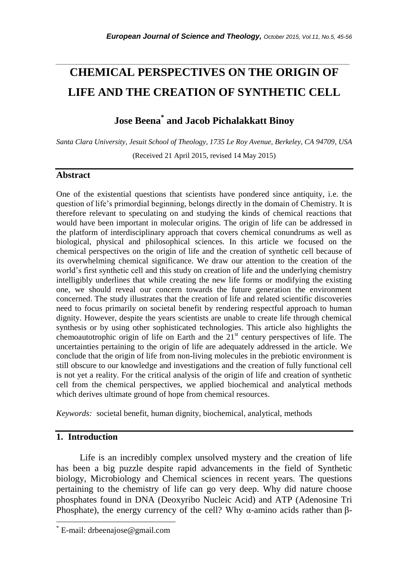# **CHEMICAL PERSPECTIVES ON THE ORIGIN OF LIFE AND THE CREATION OF SYNTHETIC CELL**

*\_\_\_\_\_\_\_\_\_\_\_\_\_\_\_\_\_\_\_\_\_\_\_\_\_\_\_\_\_\_\_\_\_\_\_\_\_\_\_\_\_\_\_\_\_\_\_\_\_\_\_\_\_\_\_\_\_\_\_\_\_\_\_\_\_\_\_\_\_\_\_*

# **Jose Beena\* and Jacob Pichalakkatt Binoy**

*Santa Clara University, Jesuit School of Theology, 1735 Le Roy Avenue, Berkeley, CA 94709, USA* (Received 21 April 2015, revised 14 May 2015)

#### **Abstract**

One of the existential questions that scientists have pondered since antiquity, i.e. the question of life"s primordial beginning, belongs directly in the domain of Chemistry. It is therefore relevant to speculating on and studying the kinds of chemical reactions that would have been important in molecular origins. The origin of life can be addressed in the platform of interdisciplinary approach that covers chemical conundrums as well as biological, physical and philosophical sciences. In this article we focused on the chemical perspectives on the origin of life and the creation of synthetic cell because of its overwhelming chemical significance. We draw our attention to the creation of the world"s first synthetic cell and this study on creation of life and the underlying chemistry intelligibly underlines that while creating the new life forms or modifying the existing one, we should reveal our concern towards the future generation the environment concerned. The study illustrates that the creation of life and related scientific discoveries need to focus primarily on societal benefit by rendering respectful approach to human dignity. However, despite the years scientists are unable to create life through chemical synthesis or by using other sophisticated technologies. This article also highlights the chemoautotrophic origin of life on Earth and the  $21<sup>st</sup>$  century perspectives of life. The uncertainties pertaining to the origin of life are adequately addressed in the article. We conclude that the origin of life from non-living molecules in the prebiotic environment is still obscure to our knowledge and investigations and the creation of fully functional cell is not yet a reality. For the critical analysis of the origin of life and creation of synthetic cell from the chemical perspectives, we applied biochemical and analytical methods which derives ultimate ground of hope from chemical resources.

*Keywords:* societal benefit, human dignity, biochemical, analytical, methods

# **1. Introduction**

l

Life is an incredibly complex unsolved mystery and the creation of life has been a big puzzle despite rapid advancements in the field of Synthetic biology, Microbiology and Chemical sciences in recent years. The questions pertaining to the chemistry of life can go very deep. Why did nature choose phosphates found in DNA (Deoxyribo Nucleic Acid) and ATP (Adenosine Tri Phosphate), the energy currency of the cell? Why  $\alpha$ -amino acids rather than β-

E-mail: drbeenajose@gmail.com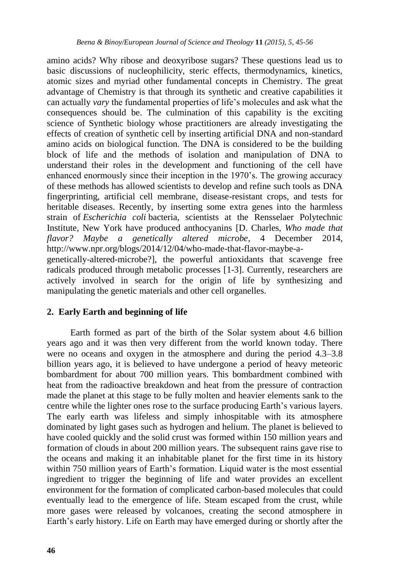amino acids? Why ribose and deoxyribose sugars? These questions lead us to basic discussions of nucleophilicity, steric effects, thermodynamics, kinetics, atomic sizes and myriad other fundamental concepts in Chemistry. The great advantage of Chemistry is that through its synthetic and creative capabilities it can actually *vary* the fundamental properties of life"s molecules and ask what the consequences should be. The culmination of this capability is the exciting science of Synthetic biology whose practitioners are already investigating the effects of creation of synthetic cell by inserting artificial DNA and non-standard amino acids on biological function. The DNA is considered to be the building block of life and the methods of isolation and manipulation of DNA to understand their roles in the development and functioning of the cell have enhanced enormously since their inception in the 1970"s. The growing accuracy of these methods has allowed scientists to develop and refine such tools as DNA fingerprinting, artificial cell membrane, disease-resistant crops, and tests for heritable diseases. Recently, by inserting some extra genes into the harmless strain of *Escherichia coli* bacteria, scientists at the Rensselaer Polytechnic Institute, New York have produced anthocyanins [D. Charles, *Who made that flavor? Maybe a genetically altered microbe*, 4 December 2014, http://www.npr.org/blogs/2014/12/04/who-made-that-flavor-maybe-a-

genetically-altered-microbe?], the powerful antioxidants that scavenge free radicals produced through metabolic processes [1-3]. Currently, researchers are actively involved in search for the origin of life by synthesizing and manipulating the genetic materials and other cell organelles.

# **2. Early Earth and beginning of life**

Earth formed as part of the birth of the Solar system about 4.6 billion years ago and it was then very different from the world known today. There were no oceans and oxygen in the atmosphere and during the period 4.3–3.8 billion years ago, it is believed to have undergone a period of heavy meteoric bombardment for about 700 million years. This bombardment combined with heat from the radioactive breakdown and heat from the pressure of contraction made the planet at this stage to be fully molten and heavier elements sank to the centre while the lighter ones rose to the surface producing Earth"s various layers. The early earth was lifeless and simply inhospitable with its atmosphere dominated by light gases such as hydrogen and helium. The planet is believed to have cooled quickly and the solid crust was formed within 150 million years and formation of clouds in about 200 million years. The subsequent rains gave rise to the oceans and making it an inhabitable planet for the first time in its history within 750 million years of Earth's formation. Liquid water is the most essential ingredient to trigger the beginning of life and water provides an excellent environment for the formation of complicated carbon-based molecules that could eventually lead to the emergence of life. Steam escaped from the crust, while more gases were released by volcanoes, creating the second atmosphere in Earth"s early history. Life on Earth may have emerged during or shortly after the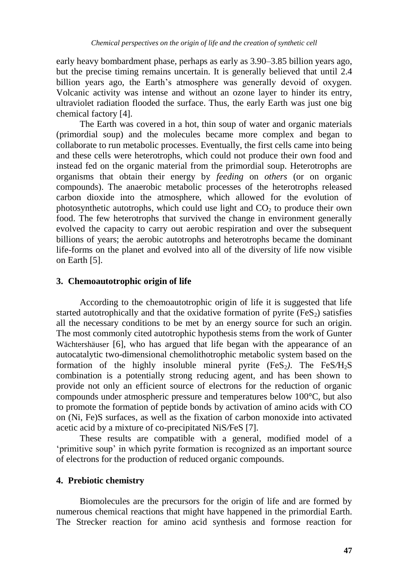early heavy bombardment phase, perhaps as early as 3.90–3.85 billion years ago, but the precise timing remains uncertain. It is generally believed that until 2.4 billion years ago, the Earth's atmosphere was generally devoid of oxygen. Volcanic activity was intense and without an ozone layer to hinder its entry, ultraviolet radiation flooded the surface. Thus, the early Earth was just one big chemical factory [4].

The Earth was covered in a hot, thin soup of water and organic materials (primordial soup) and the molecules became more complex and began to collaborate to run metabolic processes. Eventually, the first cells came into being and these cells were heterotrophs, which could not produce their own food and instead fed on the organic material from the primordial soup. Heterotrophs are organisms that obtain their energy by *feeding* on *others* (or on organic compounds). The anaerobic metabolic processes of the heterotrophs released carbon dioxide into the atmosphere, which allowed for the evolution of photosynthetic autotrophs, which could use light and  $CO<sub>2</sub>$  to produce their own food. The few heterotrophs that survived the change in environment generally evolved the capacity to carry out aerobic respiration and over the subsequent billions of years; the aerobic autotrophs and heterotrophs became the dominant life-forms on the planet and evolved into all of the diversity of life now visible on Earth [5].

#### **3. Chemoautotrophic origin of life**

According to the chemoautotrophic origin of life it is suggested that life started autotrophically and that the oxidative formation of pyrite  $(F \in S_2)$  satisfies all the necessary conditions to be met by an energy source for such an origin. The most commonly cited autotrophic hypothesis stems from the work of Gunter [Wächtershäuser](http://www.ncbi.nlm.nih.gov/pubmed?term=W%C3%A4chtersh%C3%A4user%20G%5BAuthor%5D&cauthor=true&cauthor_uid=9685253) [6], who has argued that life began with the appearance of an autocatalytic two-dimensional chemolithotrophic metabolic system based on the formation of the highly insoluble mineral pyrite  $(F \in S_2)$ . The  $Fe S/H<sub>2</sub>S$ combination is a potentially strong reducing agent, and has been shown to provide not only an efficient source of electrons for the reduction of organic compounds under atmospheric pressure and temperatures below 100°C, but also to promote the formation of peptide bonds by activation of amino acids with CO on (Ni, Fe)S surfaces, as well as the fixation of carbon monoxide into activated acetic acid by a mixture of co-precipitated NiS*/*FeS [7].

These results are compatible with a general, modified model of a 'primitive soup' in which pyrite formation is recognized as an important source of electrons for the production of reduced organic compounds.

#### **4. Prebiotic chemistry**

Biomolecules are the precursors for the origin of life and are formed by numerous chemical reactions that might have happened in the primordial Earth. The Strecker reaction for amino acid synthesis and formose reaction for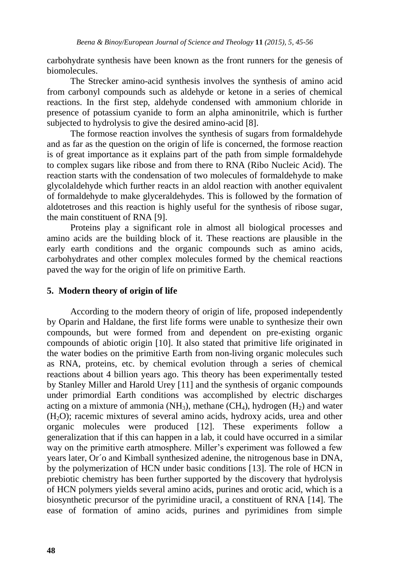carbohydrate synthesis have been known as the front runners for the genesis of biomolecules.

The Strecker amino-acid synthesis involves the synthesis of amino acid from carbonyl compounds such as aldehyde or ketone in a series of chemical reactions. In the first step, aldehyde condensed with ammonium chloride in presence of potassium cyanide to form an alpha aminonitrile, which is further subjected to hydrolysis to give the desired amino-acid [8].

The formose reaction involves the synthesis of sugars from formaldehyde and as far as the question on the origin of life is concerned, the formose reaction is of great importance as it explains part of the path from simple formaldehyde to complex sugars like ribose and from there to RNA (Ribo Nucleic Acid). The reaction starts with the condensation of two molecules of formaldehyde to make glycolaldehyde which further reacts in an aldol reaction with another equivalent of formaldehyde to make glyceraldehydes. This is followed by the formation of aldotetroses and this reaction is highly useful for the synthesis of ribose sugar, the main constituent of RNA [9].

Proteins play a significant role in almost all biological processes and amino acids are the building block of it. These reactions are plausible in the early earth conditions and the organic compounds such as amino acids, carbohydrates and other complex molecules formed by the chemical reactions paved the way for the origin of life on primitive Earth.

#### **5. Modern theory of origin of life**

According to the modern theory of origin of life, proposed independently by Oparin and Haldane, the first life forms were unable to synthesize their own compounds, but were formed from and dependent on pre-existing organic compounds of abiotic origin [10]. It also stated that primitive life originated in the water bodies on the primitive Earth from non-living organic molecules such as RNA, proteins, etc. by chemical evolution through a series of chemical reactions about 4 billion years ago. This theory has been experimentally tested by Stanley Miller and Harold Urey [11] and the synthesis of organic compounds under primordial Earth conditions was accomplished by electric discharges acting on a mixture of ammonia (NH<sub>3</sub>), methane (CH<sub>4</sub>), hydrogen (H<sub>2</sub>) and water  $(H<sub>2</sub>O)$ ; racemic mixtures of several amino acids, hydroxy acids, urea and other organic molecules were produced [12]. These experiments follow a generalization that if this can happen in a lab, it could have occurred in a similar way on the primitive earth atmosphere. Miller"s experiment was followed a few years later, Or´o and Kimball synthesized adenine, the nitrogenous base in DNA, by the polymerization of HCN under basic conditions [13]. The role of HCN in prebiotic chemistry has been further supported by the discovery that hydrolysis of HCN polymers yields several amino acids, purines and orotic acid, which is a biosynthetic precursor of the pyrimidine uracil, a constituent of RNA [14]. The ease of formation of amino acids, purines and pyrimidines from simple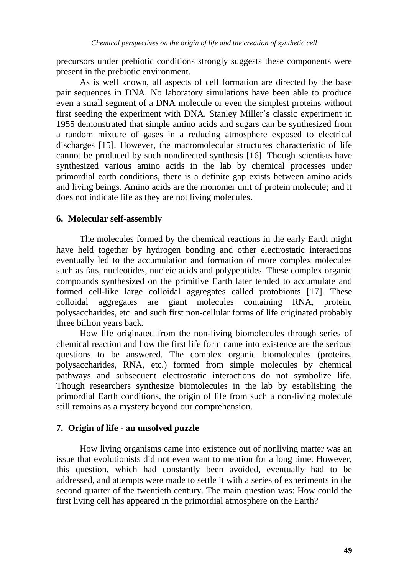precursors under prebiotic conditions strongly suggests these components were present in the prebiotic environment.

As is well known, all aspects of cell formation are directed by the base pair sequences in DNA. No laboratory simulations have been able to produce even a small segment of a DNA molecule or even the simplest proteins without first seeding the experiment with DNA. Stanley Miller"s classic experiment in 1955 demonstrated that simple amino acids and sugars can be synthesized from a random mixture of gases in a reducing atmosphere exposed to electrical discharges [15]. However, the macromolecular structures characteristic of life cannot be produced by such nondirected synthesis [16]. Though scientists have synthesized various amino acids in the lab by chemical processes under primordial earth conditions, there is a definite gap exists between amino acids and living beings. Amino acids are the monomer unit of protein molecule; and it does not indicate life as they are not living molecules.

#### **6. Molecular self-assembly**

The molecules formed by the chemical reactions in the early Earth might have held together by hydrogen bonding and other electrostatic interactions eventually led to the accumulation and formation of more complex molecules such as fats, nucleotides, nucleic acids and polypeptides. These complex organic compounds synthesized on the primitive Earth later tended to accumulate and formed cell-like large colloidal aggregates called protobionts [17]. These colloidal aggregates are giant molecules containing RNA, protein, polysaccharides, etc. and such first non-cellular forms of life originated probably three billion years back.

How life originated from the non-living biomolecules through series of chemical reaction and how the first life form came into existence are the serious questions to be answered. The complex organic biomolecules (proteins, polysaccharides, RNA, etc.) formed from simple molecules by chemical pathways and subsequent electrostatic interactions do not symbolize life. Though researchers synthesize biomolecules in the lab by establishing the primordial Earth conditions, the origin of life from such a non-living molecule still remains as a mystery beyond our comprehension.

# **7. Origin of life - an unsolved puzzle**

How living organisms came into existence out of nonliving matter was an issue that evolutionists did not even want to mention for a long time. However, this question, which had constantly been avoided, eventually had to be addressed, and attempts were made to settle it with a series of experiments in the second quarter of the twentieth century. The main question was: How could the first living cell has appeared in the primordial atmosphere on the Earth?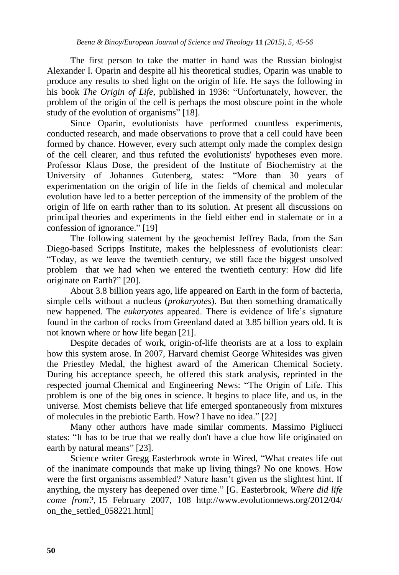The first person to take the matter in hand was the Russian biologist Alexander I. Oparin and despite all his theoretical studies, Oparin was unable to produce any results to shed light on the origin of life. He says the following in his book *The Origin of Life*, published in 1936: "Unfortunately, however, the problem of the origin of the cell is perhaps the most obscure point in the whole study of the evolution of organisms" [18].

Since Oparin, evolutionists have performed countless experiments, conducted research, and made observations to prove that a cell could have been formed by chance. However, every such attempt only made the complex design of the cell clearer, and thus refuted the evolutionists' hypotheses even more. Professor Klaus Dose, the president of the Institute of Biochemistry at the University of Johannes Gutenberg, states: "More than 30 years of experimentation on the origin of life in the fields of chemical and molecular evolution have led to a better perception of the immensity of the problem of the origin of life on earth rather than to its solution. At present all discussions on principal theories and experiments in the field either end in stalemate or in a confession of ignorance." [19]

The following statement by the geochemist Jeffrey Bada, from the San Diego-based Scripps Institute, makes the helplessness of evolutionists clear: "Today, as we leave the twentieth century, we still face the biggest unsolved problem that we had when we entered the twentieth century: How did life originate on Earth?" [20].

About 3.8 billion years ago, life appeared on Earth in the form of bacteria, simple cells without a nucleus (*prokaryotes*). But then something dramatically new happened. The *eukaryotes* appeared. There is evidence of life"s signature found in the carbon of rocks from Greenland dated at 3.85 billion years old. It is not known where or how life began [21].

Despite decades of work, origin-of-life theorists are at a loss to explain how this system arose. In 2007, Harvard chemist George Whitesides was given the Priestley Medal, the highest award of the American Chemical Society. During his acceptance speech, he offered this stark analysis, reprinted in the respected journal Chemical and Engineering News: "The Origin of Life. This problem is one of the big ones in science. It begins to place life, and us, in the universe. Most chemists believe that life emerged spontaneously from mixtures of molecules in the prebiotic Earth. How? I have no idea." [22]

Many other authors have made similar comments. Massimo Pigliucci states: "It has to be true that we really don't have a clue how life originated on earth by natural means" [23].

Science writer Gregg Easterbrook wrote in Wired, "What creates life out of the inanimate compounds that make up living things? No one knows. How were the first organisms assembled? Nature hasn't given us the slightest hint. If anything, the mystery has deepened over time." [G. Easterbrook, *Where did life come from?*, 15 February 2007, 108 http://www.evolutionnews.org/2012/04/ on the settled 058221.html]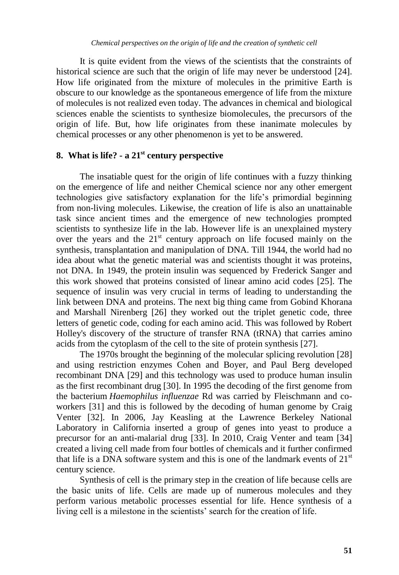It is quite evident from the views of the scientists that the constraints of historical science are such that the origin of life may never be understood [24]. How life originated from the mixture of molecules in the primitive Earth is obscure to our knowledge as the spontaneous emergence of life from the mixture of molecules is not realized even today. The advances in chemical and biological sciences enable the scientists to synthesize biomolecules, the precursors of the origin of life. But, how life originates from these inanimate molecules by chemical processes or any other phenomenon is yet to be answered.

# **8. What is life? - a 21st century perspective**

The insatiable quest for the origin of life continues with a fuzzy thinking on the emergence of life and neither Chemical science nor any other emergent technologies give satisfactory explanation for the life"s primordial beginning from non-living molecules. Likewise, the creation of life is also an unattainable task since ancient times and the emergence of new technologies prompted scientists to synthesize life in the lab. However life is an unexplained mystery over the years and the  $21<sup>st</sup>$  century approach on life focused mainly on the synthesis, transplantation and manipulation of DNA. Till 1944, the world had no idea about what the genetic material was and scientists thought it was proteins, not DNA. In 1949, the protein insulin was sequenced by Frederick Sanger and this work showed that proteins consisted of linear amino acid codes [25]. The sequence of insulin was very crucial in terms of leading to understanding the link between DNA and proteins. The next big thing came from Gobind Khorana and Marshall Nirenberg [26] they worked out the triplet genetic code, three letters of genetic code, coding for each amino acid. This was followed by Robert Holley's discovery of the structure of transfer RNA (tRNA) that carries amino acids from the cytoplasm of the cell to the site of protein synthesis [27].

The 1970s brought the beginning of the molecular splicing revolution [28] and using restriction enzymes Cohen and Boyer, and Paul Berg developed recombinant DNA [29] and this technology was used to produce human insulin as the first recombinant drug [30]. In 1995 the decoding of the first genome from the bacterium *Haemophilus influenzae* Rd was carried by Fleischmann and coworkers [31] and this is followed by the decoding of human genome by Craig Venter [32]. In 2006, Jay Keasling at the Lawrence Berkeley National Laboratory in California inserted a group of genes into yeast to produce a precursor for an anti-malarial drug [33]. In 2010, Craig Venter and team [34] created a living cell made from four bottles of chemicals and it further confirmed that life is a DNA software system and this is one of the landmark events of  $21<sup>st</sup>$ century science.

Synthesis of cell is the primary step in the creation of life because cells are the basic units of life. Cells are made up of numerous molecules and they perform various metabolic processes essential for life. Hence synthesis of a living cell is a milestone in the scientists" search for the creation of life.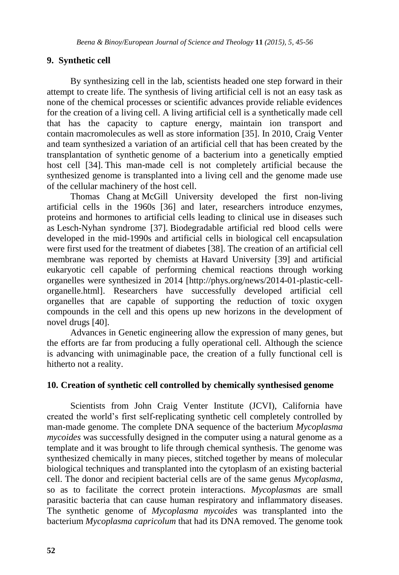#### **9. Synthetic cell**

By synthesizing cell in the lab, scientists headed one step forward in their attempt to create life. The synthesis of living artificial cell is not an easy task as none of the chemical processes or scientific advances provide reliable evidences for the creation of a living cell. A living artificial cell is a synthetically made cell that has the capacity to capture energy, maintain ion transport and contain macromolecules as well as store information [35]. In 2010, Craig Venter and team synthesized a variation of an artificial cell that has been created by the transplantation of synthetic [genome](http://en.wikipedia.org/wiki/Genome) of a bacterium into a genetically emptied host cell [34]. This man-made cell is not completely artificial because the synthesized genome is transplanted into a living cell and the genome made use of the cellular machinery of the host cell.

[Thomas Chang](http://en.wikipedia.org/wiki/Thomas_Chang) at [McGill University](http://en.wikipedia.org/wiki/McGill_University) developed the first non-living artificial cells in the 1960s [36] and later, researchers introduce enzymes, proteins and hormones to artificial cells leading to clinical use in diseases such as Lesch-Nyhan syndrome [37]. Biodegradable artificial red blood cells were developed in the mid-1990s and artificial cells in biological cell encapsulation were first used for the treatment of diabetes [38]. The creation of an artificial [cell](http://en.wikipedia.org/wiki/Cell_membrane)  [membrane](http://en.wikipedia.org/wiki/Cell_membrane) was reported by chemists at Havard University [39] and artificial eukaryotic cell capable of performing chemical reactions through working organelles were synthesized in 2014 [http://phys.org/news/2014-01-plastic-cellorganelle.html]. Researchers have successfully developed artificial cell organelles that are capable of supporting the reduction of toxic oxygen compounds in the cell and this opens up new horizons in the development of novel drugs [40].

Advances in Genetic engineering allow the expression of many [genes,](http://en.wikipedia.org/wiki/Genes) but the efforts are far from producing a fully operational cell. Although the science is advancing with unimaginable pace, the creation of a fully functional cell is hitherto not a reality.

#### **10. Creation of synthetic cell controlled by chemically synthesised genome**

Scientists from John Craig Venter Institute (JCVI), California have created the world"s first self-replicating synthetic cell completely controlled by man-made genome. The complete DNA sequence of the bacterium *Mycoplasma mycoides* was successfully designed in the computer using a natural genome as a template and it was brought to life through chemical synthesis. The genome was synthesized chemically in many pieces, stitched together by means of molecular biological techniques and transplanted into the cytoplasm of an existing bacterial cell. The donor and recipient bacterial cells are of the same genus *Mycoplasma,* so as to facilitate the correct protein interactions. *Mycoplasmas* are small parasitic bacteria that can cause human respiratory and inflammatory diseases. The synthetic genome of *Mycoplasma mycoides* [was transplanted into t](http://abcnews.go.com/video/playerIndex?id=3932246)he bacterium *Mycoplasma capricolum* that had its DNA removed. The genome took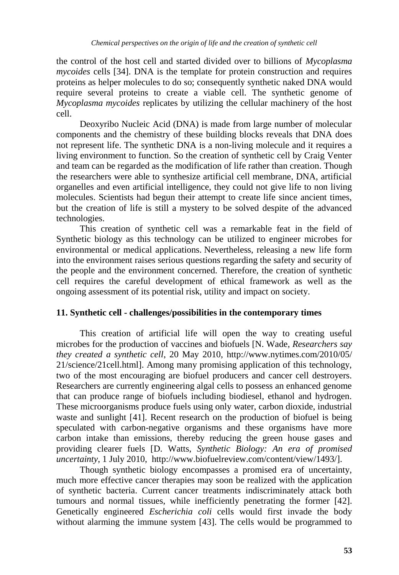the control of the host cell and started divided over to billions of *Mycoplasma mycoides* cells [34]. DNA is the template for protein construction and requires proteins as helper molecules to do so; consequently synthetic naked DNA would require several proteins to create a viable cell. The synthetic genome of *Mycoplasma mycoides* replicates by utilizing the cellular machinery of the host cell.

Deoxyribo Nucleic Acid (DNA) is made from large number of molecular components and the chemistry of these building blocks reveals that DNA does not represent life. The synthetic DNA is a non-living molecule and it requires a living environment to function. So the creation of synthetic cell by Craig Venter and team can be regarded as the modification of life rather than creation. Though the researchers were able to synthesize artificial cell membrane, DNA, artificial organelles and even artificial intelligence, they could not give life to non living molecules. Scientists had begun their attempt to create life since ancient times, but the creation of life is still a mystery to be solved despite of the advanced technologies.

This creation of synthetic cell was a remarkable feat in the field of Synthetic biology as this technology can be utilized to engineer microbes for environmental or medical applications. Nevertheless, releasing a new life form into the environment raises serious questions regarding the safety and security of the people and the environment concerned. Therefore, the creation of synthetic cell requires the careful development of ethical framework as well as the ongoing assessment of its potential risk, utility and impact on society.

# **11. Synthetic cell - challenges/possibilities in the contemporary times**

This creation of artificial life will open the way to creating useful microbes for the production of vaccines and biofuels [N. Wade, *Researchers say they created a synthetic cell*, 20 May 2010, http://www.nytimes.com/2010/05/ 21/science/21cell.html]. Among many promising application of this technology, two of the most encouraging are biofuel producers and cancer cell destroyers. Researchers are currently engineering algal cells to possess an enhanced genome that can produce range of biofuels including biodiesel, ethanol and hydrogen. These microorganisms produce fuels using only water, carbon dioxide, industrial waste and sunlight [41]. Recent research on the production of biofuel is being speculated with carbon-negative organisms and these organisms have more carbon intake than emissions, thereby reducing the green house gases and providing clearer fuels [D. Watts, *Synthetic Biology: An era of promised uncertainty*, 1 July 2010, http://www.biofuelreview.com/content/view/1493/].

Though synthetic biology encompasses a promised era of uncertainty, much more effective cancer therapies may soon be realized with the application of synthetic bacteria. Current cancer treatments indiscriminately attack both tumours and normal tissues, while inefficiently penetrating the former [42]. Genetically engineered *Escherichia coli* cells would first invade the body without alarming the immune system [43]. The cells would be programmed to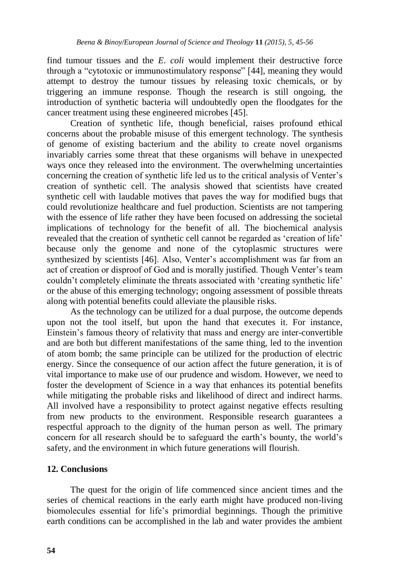find tumour tissues and the *E. coli* would implement their destructive force through a "cytotoxic or immunostimulatory response" [44], meaning they would attempt to destroy the tumour tissues by releasing toxic chemicals, or by triggering an immune response. Though the research is still ongoing, the introduction of synthetic bacteria will undoubtedly open the floodgates for the cancer treatment using these engineered microbes [45].

Creation of synthetic life, though beneficial, raises profound ethical concerns about the probable misuse of this emergent technology. The synthesis of genome of existing bacterium and the ability to create novel organisms invariably carries some threat that these organisms will behave in unexpected ways once they released into the environment. The overwhelming uncertainties concerning the creation of synthetic life led us to the critical analysis of Venter"s creation of synthetic cell. The analysis showed that scientists have created synthetic cell with laudable motives that paves the way for modified bugs that could revolutionize healthcare and fuel production. Scientists are not tampering with the essence of life rather they have been focused on addressing the societal implications of technology for the benefit of all. The biochemical analysis revealed that the creation of synthetic cell cannot be regarded as "creation of life" because only the genome and none of the cytoplasmic structures were synthesized by scientists [46]. Also, Venter's accomplishment was far from an act of creation or disproof of God and is morally justified. Though Venter"s team couldn"t completely eliminate the threats associated with "creating synthetic life" or the abuse of this emerging technology; ongoing assessment of possible threats along with potential benefits could alleviate the plausible risks.

As the technology can be utilized for a dual purpose, the outcome depends upon not the tool itself, but upon the hand that executes it. For instance, Einstein"s famous theory of relativity that mass and energy are inter-convertible and are both but different manifestations of the same thing, led to the invention of atom bomb; the same principle can be utilized for the production of electric energy. Since the consequence of our action affect the future generation, it is of vital importance to make use of our prudence and wisdom. However, we need to foster the development of Science in a way that enhances its potential benefits while mitigating the probable risks and likelihood of direct and indirect harms. All involved have a responsibility to protect against negative effects resulting from new products to the environment. Responsible research guarantees a respectful approach to the dignity of the human person as well. The primary concern for all research should be to safeguard the earth's bounty, the world's safety, and the environment in which future generations will flourish.

#### **12. Conclusions**

The quest for the origin of life commenced since ancient times and the series of chemical reactions in the early earth might have produced non-living biomolecules essential for life"s primordial beginnings. Though the primitive earth conditions can be accomplished in the lab and water provides the ambient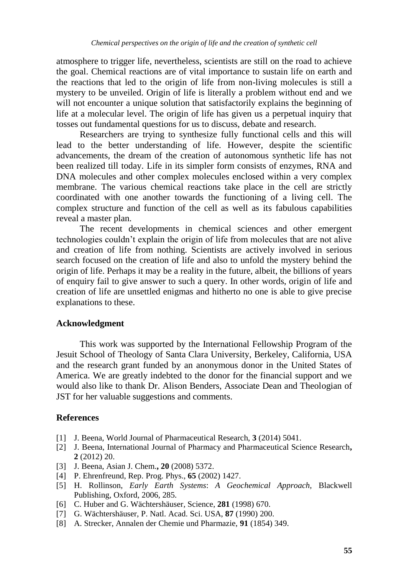atmosphere to trigger life, nevertheless, scientists are still on the road to achieve the goal. Chemical reactions are of vital importance to sustain life on earth and the reactions that led to the origin of life from non-living molecules is still a mystery to be unveiled. Origin of life is literally a problem without end and we will not encounter a unique solution that satisfactorily explains the beginning of life at a molecular level. The origin of life has given us a perpetual inquiry that tosses out fundamental questions for us to discuss, debate and research.

Researchers are trying to synthesize fully functional cells and this will lead to the better understanding of life. However, despite the scientific advancements, the dream of the creation of autonomous synthetic life has not been realized till today. Life in its simpler form consists of enzymes, RNA and DNA molecules and other complex molecules enclosed within a very complex membrane. The various chemical reactions take place in the cell are strictly coordinated with one another towards the functioning of a living cell. The complex structure and function of the cell as well as its fabulous capabilities reveal a master plan.

The recent developments in chemical sciences and other emergent technologies couldn"t explain the origin of life from molecules that are not alive and creation of life from nothing. Scientists are actively involved in serious search focused on the creation of life and also to unfold the mystery behind the origin of life. Perhaps it may be a reality in the future, albeit, the billions of years of enquiry fail to give answer to such a query. In other words, origin of life and creation of life are unsettled enigmas and hitherto no one is able to give precise explanations to these.

# **Acknowledgment**

This work was supported by the International Fellowship Program of the Jesuit School of Theology of Santa Clara University, Berkeley, California, USA and the research grant funded by an anonymous donor in the United States of America. We are greatly indebted to the donor for the financial support and we would also like to thank Dr. Alison Benders, Associate Dean and Theologian of JST for her valuable suggestions and comments.

# **References**

- [1] J. Beena, World Journal of Pharmaceutical Research, **3** (2014) 5041.
- [2] J. Beena, International Journal of Pharmacy and Pharmaceutical Science Research**, 2** (2012) 20.
- [3] J. Beena, Asian J. Chem.**, 20** (2008) 5372.
- [4] P. Ehrenfreund, Rep. Prog. Phys., **65** (2002) 1427.
- [5] H. Rollinson, *Early Earth Systems*: *A Geochemical Approach,* Blackwell Publishing*,* Oxford, 2006, 285.
- [6] C. Huber and G[. Wächtershäuser,](http://www.ncbi.nlm.nih.gov/pubmed?term=W%C3%A4chtersh%C3%A4user%20G%5BAuthor%5D&cauthor=true&cauthor_uid=9685253) Science, **281** (1998) 670.
- [7] G[. Wächtershäuser,](http://www.ncbi.nlm.nih.gov/pubmed?term=W%C3%A4chtersh%C3%A4user%20G%5BAuthor%5D&cauthor=true&cauthor_uid=9685253) P. Natl. Acad. Sci. USA, **87** (1990) 200.
- [8] A. Strecker, Annalen der Chemie und Pharmazie, **91** (1854) 349.